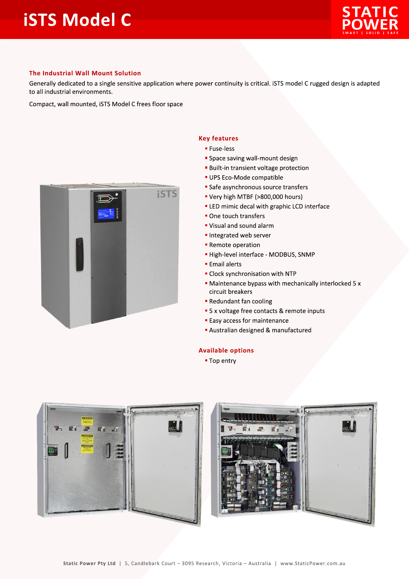

## The Industrial Wall Mount Solution

Generally dedicated to a single sensitive application where power continuity is critical. iSTS model C rugged design is adapted to all industrial environments.

Compact, wall mounted, iSTS Model C frees floor space



## **Key features**

- **E** Fuse-less
- **Space saving wall-mount design**
- **Built-in transient voltage protection**
- · UPS Eco-Mode compatible
- Safe asynchronous source transfers
- " Very high MTBF (>800,000 hours)
- **ELED** mimic decal with graphic LCD interface
- One touch transfers
- " Visual and sound alarm
- Integrated web server
- Remote operation
- High-level interface MODBUS, SNMP
- **Email alerts**
- Clock synchronisation with NTP
- Maintenance bypass with mechanically interlocked 5 x circuit breakers
- Redundant fan cooling
- 5 x voltage free contacts & remote inputs
- **Easy access for maintenance**
- Australian designed & manufactured

## **Available options**

■ Top entry